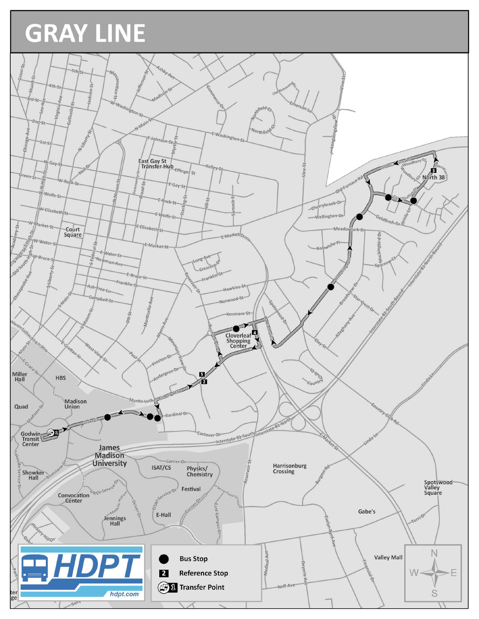## GRAY LINE